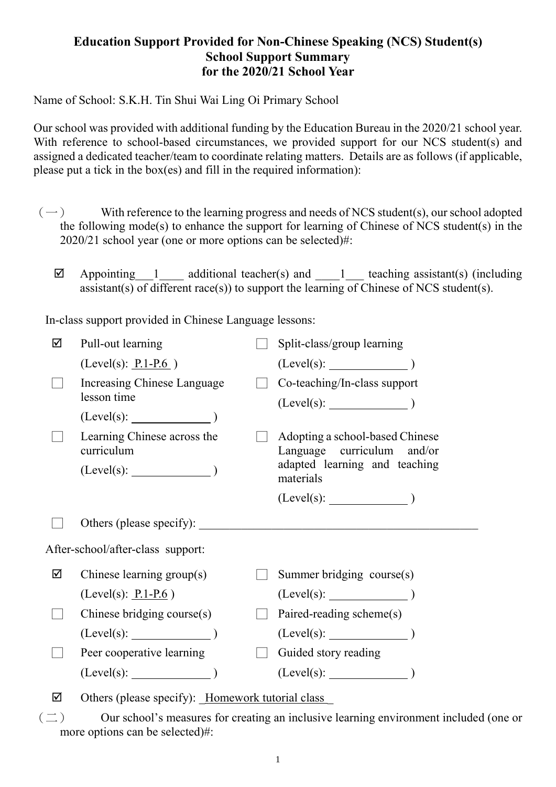## **Education Support Provided for Non-Chinese Speaking (NCS) Student(s) School Support Summary for the 2020/21 School Year**

Name of School: S.K.H. Tin Shui Wai Ling Oi Primary School

Our school was provided with additional funding by the Education Bureau in the 2020/21 school year. With reference to school-based circumstances, we provided support for our NCS student(s) and assigned a dedicated teacher/team to coordinate relating matters. Details are as follows (if applicable, please put a tick in the box(es) and fill in the required information):

- $(-)$  With reference to the learning progress and needs of NCS student(s), our school adopted the following mode(s) to enhance the support for learning of Chinese of NCS student(s) in the 2020/21 school year (one or more options can be selected)#:
	- $\boxtimes$  Appointing 1 additional teacher(s) and 1 teaching assistant(s) (including assistant(s) of different race(s)) to support the learning of Chinese of NCS student(s).

In-class support provided in Chinese Language lessons:

| ☑                                 | Pull-out learning                                |  | Split-class/group learning                                                                                     |  |  |  |
|-----------------------------------|--------------------------------------------------|--|----------------------------------------------------------------------------------------------------------------|--|--|--|
|                                   | (Level(s): $P.1-P.6$ )                           |  | $(Level(s):$ $)$                                                                                               |  |  |  |
|                                   | Increasing Chinese Language<br>lesson time       |  | Co-teaching/In-class support<br>$(Level(s):$ (Level(s):                                                        |  |  |  |
|                                   | $(Level(s):$ $)$                                 |  |                                                                                                                |  |  |  |
|                                   | Learning Chinese across the<br>curriculum        |  | Adopting a school-based Chinese<br>Language curriculum<br>and/or<br>adapted learning and teaching<br>materials |  |  |  |
|                                   | $(Level(s):$ $)$                                 |  |                                                                                                                |  |  |  |
|                                   |                                                  |  | $(Level(s):$ $)$                                                                                               |  |  |  |
|                                   | Others (please specify):                         |  | <u> 1980 - John Stein, amerikansk politiker (</u>                                                              |  |  |  |
| After-school/after-class support: |                                                  |  |                                                                                                                |  |  |  |
| ☑                                 | Chinese learning $group(s)$                      |  | Summer bridging course(s)                                                                                      |  |  |  |
|                                   | (Level(s): $P.1-P.6$ )                           |  | $(Level(s):$ (Level(s):                                                                                        |  |  |  |
|                                   | Chinese bridging course(s)                       |  | Paired-reading scheme(s)                                                                                       |  |  |  |
|                                   | $(Level(s):$ (Level(s):                          |  |                                                                                                                |  |  |  |
|                                   | Peer cooperative learning                        |  | Guided story reading                                                                                           |  |  |  |
|                                   | $(Level(s):$ (Level(s):                          |  | $(Level(s):$ (Level(s):                                                                                        |  |  |  |
| ☑                                 | Others (please specify): Homework tutorial class |  |                                                                                                                |  |  |  |

 $(\square)$  Our school's measures for creating an inclusive learning environment included (one or more options can be selected)#: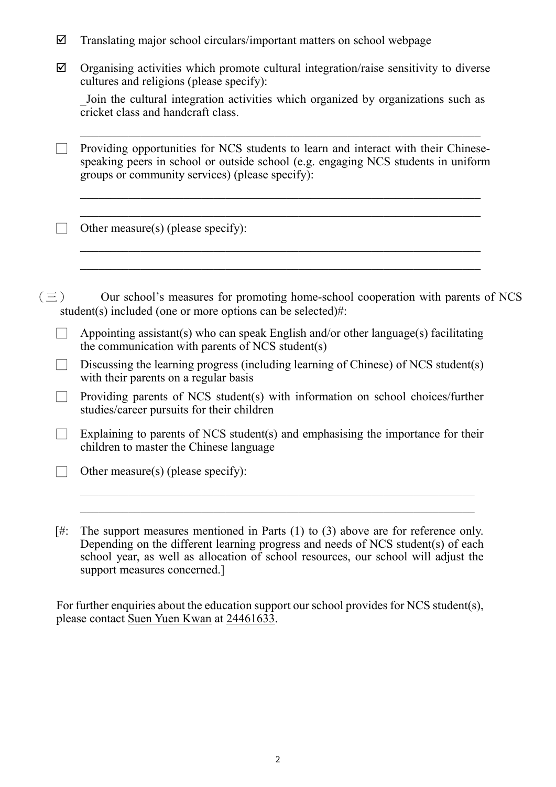- $\boxtimes$  Translating major school circulars/important matters on school webpage
- $\boxtimes$  Organising activities which promote cultural integration/raise sensitivity to diverse cultures and religions (please specify):

\_Join the cultural integration activities which organized by organizations such as cricket class and handcraft class.

Providing opportunities for NCS students to learn and interact with their Chinesespeaking peers in school or outside school (e.g. engaging NCS students in uniform groups or community services) (please specify):

 $\mathcal{L}_\text{max} = \mathcal{L}_\text{max} = \mathcal{L}_\text{max} = \mathcal{L}_\text{max} = \mathcal{L}_\text{max} = \mathcal{L}_\text{max} = \mathcal{L}_\text{max} = \mathcal{L}_\text{max} = \mathcal{L}_\text{max} = \mathcal{L}_\text{max} = \mathcal{L}_\text{max} = \mathcal{L}_\text{max} = \mathcal{L}_\text{max} = \mathcal{L}_\text{max} = \mathcal{L}_\text{max} = \mathcal{L}_\text{max} = \mathcal{L}_\text{max} = \mathcal{L}_\text{max} = \mathcal{$ 

 $\mathcal{L}_\text{max} = \mathcal{L}_\text{max} = \mathcal{L}_\text{max} = \mathcal{L}_\text{max} = \mathcal{L}_\text{max} = \mathcal{L}_\text{max} = \mathcal{L}_\text{max} = \mathcal{L}_\text{max} = \mathcal{L}_\text{max} = \mathcal{L}_\text{max} = \mathcal{L}_\text{max} = \mathcal{L}_\text{max} = \mathcal{L}_\text{max} = \mathcal{L}_\text{max} = \mathcal{L}_\text{max} = \mathcal{L}_\text{max} = \mathcal{L}_\text{max} = \mathcal{L}_\text{max} = \mathcal{$ 

\_\_\_\_\_\_\_\_\_\_\_\_\_\_\_\_\_\_\_\_\_\_\_\_\_\_\_\_\_\_\_\_\_\_\_\_\_\_\_\_\_\_\_\_\_\_\_\_\_\_\_\_\_\_\_\_\_\_\_\_\_\_\_\_\_\_

 $\Box$  Other measure(s) (please specify):

 $(\equiv)$  Our school's measures for promoting home-school cooperation with parents of NCS student(s) included (one or more options can be selected)#:

- Appointing assistant(s) who can speak English and/or other language(s) facilitating the communication with parents of NCS student(s)
- Discussing the learning progress (including learning of Chinese) of NCS student(s) with their parents on a regular basis
- Providing parents of NCS student(s) with information on school choices/further studies/career pursuits for their children
- $\Box$  Explaining to parents of NCS student(s) and emphasising the importance for their children to master the Chinese language
- $\Box$  Other measure(s) (please specify):
- [#: The support measures mentioned in Parts (1) to (3) above are for reference only. Depending on the different learning progress and needs of NCS student(s) of each school year, as well as allocation of school resources, our school will adjust the support measures concerned.]

For further enquiries about the education support our school provides for NCS student(s), please contact Suen Yuen Kwan at 24461633.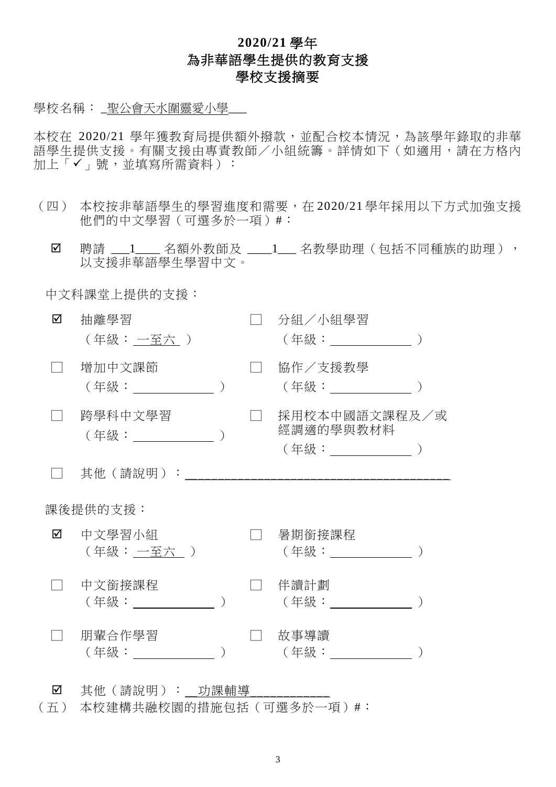## **2020/21** 學年 為非華語學生提供的教育支援 學校支援摘要

學校名稱:\_聖公會天水圍靈愛小學\_\_\_

本校在 2020/21 學年獲教育局提供額外撥款,並配合校本情況,為該學年錄取的非華 語學生提供支援。有關支援由專責教師/小組統籌。詳情如下(如適用,請在方格內 加上「√」號,並填寫所需資料):

- (四) 本校按非華語學生的學習進度和需要,在 2020/21 學年採用以下方式加強支援 他們的中文學習(可選多於一項)#︰
	- Ø 聘請 \_\_\_1\_\_\_ 名額外教師及 \_\_\_\_1\_\_ 名教學助理(包括不同種族的助理), 以支援非華語學生學習中文。

中文科課堂上提供的支援:

| ☑        | 抽離學習<br>(年級: 一至六 )            |  |  | 分組/小組學習<br>(年級: __________                     |  |  |  |
|----------|-------------------------------|--|--|------------------------------------------------|--|--|--|
|          | 增加中文課節                        |  |  | 協作/支援教學<br>(年級:____________                    |  |  |  |
|          | 跨學科中文學習<br>(年級: しゅうしょう)       |  |  | 採用校本中國語文課程及/或<br>經調適的學與教材料<br>(年級: ___________ |  |  |  |
|          | 其他(請說明):                      |  |  |                                                |  |  |  |
| 課後提供的支援: |                               |  |  |                                                |  |  |  |
| ☑        | 中文學習小組<br>(年級: 一至六 )          |  |  | 暑期銜接課程<br>(年級: _________                       |  |  |  |
|          | 中文銜接課程<br>(年級: ) しゅうしょう しんしょう |  |  | 伴讀計劃<br>(年級:                                   |  |  |  |
|          | 朋輩合作學習<br>(年級:                |  |  | 故事導讀<br>( 年級 :                                 |  |  |  |
|          |                               |  |  |                                                |  |  |  |

■ 其他(請說明): 功課輔導

(五) 本校建構共融校園的措施包括(可選多於一項)#︰